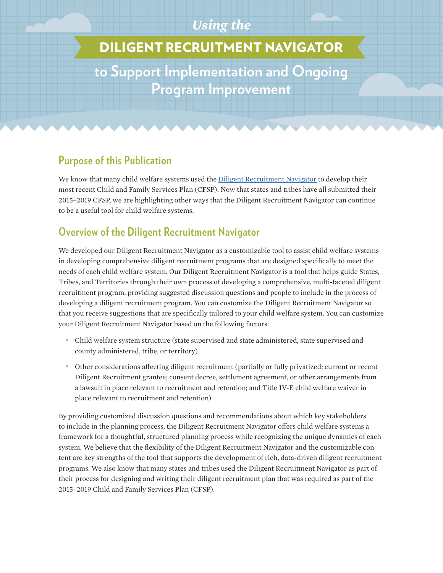### *Using the*

# DILIGENT RECRUITMENT NAVIGATOR

**to Support Implementation and Ongoing Program Improvement**

### **Purpose of this Publication**

We know that many child welfare systems used the [Diligent Recruitment Navigator](http://www.nrcdr.org/diligent-recruitment/dr-navigator) to develop their most recent Child and Family Services Plan (CFSP). Now that states and tribes have all submitted their 2015–2019 CFSP, we are highlighting other ways that the Diligent Recruitment Navigator can continue to be a useful tool for child welfare systems.

# **Overview of the Diligent Recruitment Navigator**

We developed our Diligent Recruitment Navigator as a customizable tool to assist child welfare systems in developing comprehensive diligent recruitment programs that are designed specifically to meet the needs of each child welfare system. Our Diligent Recruitment Navigator is a tool that helps guide States, Tribes, and Territories through their own process of developing a comprehensive, multi-faceted diligent recruitment program, providing suggested discussion questions and people to include in the process of developing a diligent recruitment program. You can customize the Diligent Recruitment Navigator so that you receive suggestions that are specifically tailored to your child welfare system. You can customize your Diligent Recruitment Navigator based on the following factors:

- Child welfare system structure (state supervised and state administered, state supervised and county administered, tribe, or territory)
- Other considerations affecting diligent recruitment (partially or fully privatized; current or recent Diligent Recruitment grantee; consent decree, settlement agreement, or other arrangements from a lawsuit in place relevant to recruitment and retention; and Title IV-E child welfare waiver in place relevant to recruitment and retention)

By providing customized discussion questions and recommendations about which key stakeholders to include in the planning process, the Diligent Recruitment Navigator offers child welfare systems a framework for a thoughtful, structured planning process while recognizing the unique dynamics of each system. We believe that the flexibility of the Diligent Recruitment Navigator and the customizable content are key strengths of the tool that supports the development of rich, data-driven diligent recruitment programs. We also know that many states and tribes used the Diligent Recruitment Navigator as part of their process for designing and writing their diligent recruitment plan that was required as part of the 2015–2019 Child and Family Services Plan (CFSP).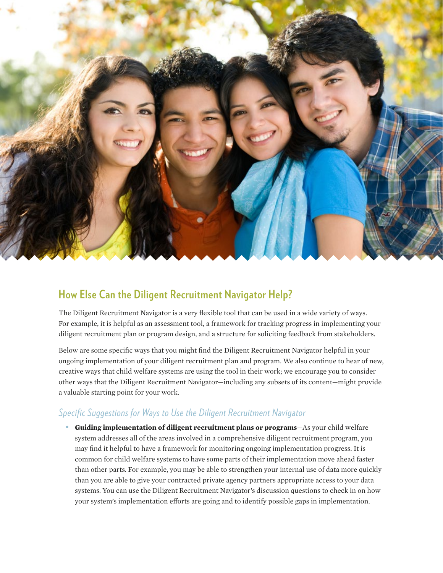

### **How Else Can the Diligent Recruitment Navigator Help?**

The Diligent Recruitment Navigator is a very flexible tool that can be used in a wide variety of ways. For example, it is helpful as an assessment tool, a framework for tracking progress in implementing your diligent recruitment plan or program design, and a structure for soliciting feedback from stakeholders.

Below are some specific ways that you might find the Diligent Recruitment Navigator helpful in your ongoing implementation of your diligent recruitment plan and program. We also continue to hear of new, creative ways that child welfare systems are using the tool in their work; we encourage you to consider other ways that the Diligent Recruitment Navigator—including any subsets of its content—might provide a valuable starting point for your work.

#### *Specific Suggestions for Ways to Use the Diligent Recruitment Navigator*

• **Guiding implementation of diligent recruitment plans or programs**—As your child welfare system addresses all of the areas involved in a comprehensive diligent recruitment program, you may find it helpful to have a framework for monitoring ongoing implementation progress. It is common for child welfare systems to have some parts of their implementation move ahead faster than other parts. For example, you may be able to strengthen your internal use of data more quickly than you are able to give your contracted private agency partners appropriate access to your data systems. You can use the Diligent Recruitment Navigator's discussion questions to check in on how your system's implementation efforts are going and to identify possible gaps in implementation.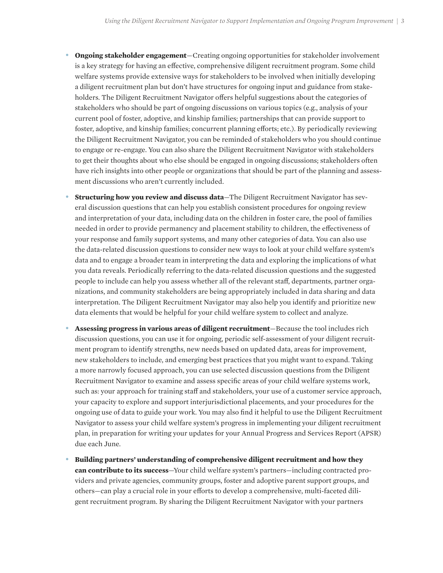- **Ongoing stakeholder engagement**—Creating ongoing opportunities for stakeholder involvement is a key strategy for having an effective, comprehensive diligent recruitment program. Some child welfare systems provide extensive ways for stakeholders to be involved when initially developing a diligent recruitment plan but don't have structures for ongoing input and guidance from stakeholders. The Diligent Recruitment Navigator offers helpful suggestions about the categories of stakeholders who should be part of ongoing discussions on various topics (e.g., analysis of your current pool of foster, adoptive, and kinship families; partnerships that can provide support to foster, adoptive, and kinship families; concurrent planning efforts; etc.). By periodically reviewing the Diligent Recruitment Navigator, you can be reminded of stakeholders who you should continue to engage or re-engage. You can also share the Diligent Recruitment Navigator with stakeholders to get their thoughts about who else should be engaged in ongoing discussions; stakeholders often have rich insights into other people or organizations that should be part of the planning and assessment discussions who aren't currently included.
- **Structuring how you review and discuss data**—The Diligent Recruitment Navigator has several discussion questions that can help you establish consistent procedures for ongoing review and interpretation of your data, including data on the children in foster care, the pool of families needed in order to provide permanency and placement stability to children, the effectiveness of your response and family support systems, and many other categories of data. You can also use the data-related discussion questions to consider new ways to look at your child welfare system's data and to engage a broader team in interpreting the data and exploring the implications of what you data reveals. Periodically referring to the data-related discussion questions and the suggested people to include can help you assess whether all of the relevant staff, departments, partner organizations, and community stakeholders are being appropriately included in data sharing and data interpretation. The Diligent Recruitment Navigator may also help you identify and prioritize new data elements that would be helpful for your child welfare system to collect and analyze.
- **Assessing progress in various areas of diligent recruitment**—Because the tool includes rich discussion questions, you can use it for ongoing, periodic self-assessment of your diligent recruitment program to identify strengths, new needs based on updated data, areas for improvement, new stakeholders to include, and emerging best practices that you might want to expand. Taking a more narrowly focused approach, you can use selected discussion questions from the Diligent Recruitment Navigator to examine and assess specific areas of your child welfare systems work, such as: your approach for training staff and stakeholders, your use of a customer service approach, your capacity to explore and support interjurisdictional placements, and your procedures for the ongoing use of data to guide your work. You may also find it helpful to use the Diligent Recruitment Navigator to assess your child welfare system's progress in implementing your diligent recruitment plan, in preparation for writing your updates for your Annual Progress and Services Report (APSR) due each June.
- **Building partners' understanding of comprehensive diligent recruitment and how they can contribute to its success**—Your child welfare system's partners—including contracted providers and private agencies, community groups, foster and adoptive parent support groups, and others—can play a crucial role in your efforts to develop a comprehensive, multi-faceted diligent recruitment program. By sharing the Diligent Recruitment Navigator with your partners